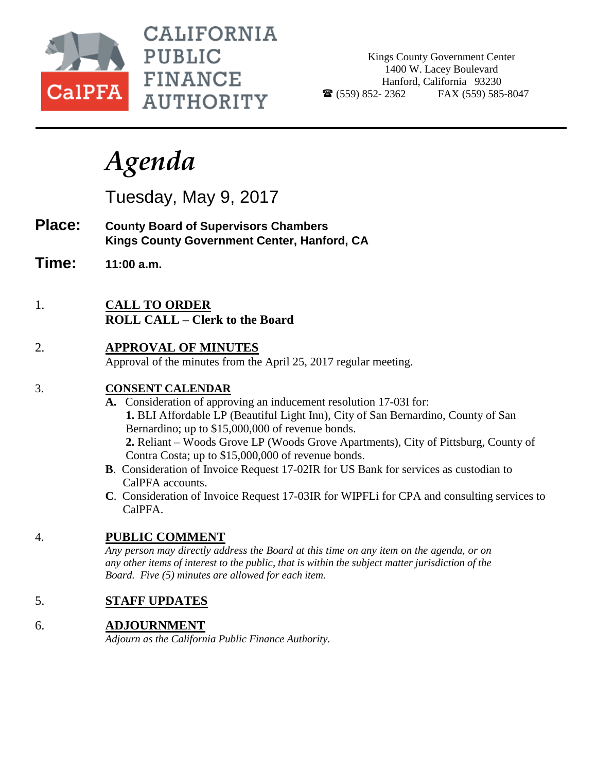

**CALIFORNIA PUBLIC FINANCE AUTHORITY** 

Kings County Government Center 1400 W. Lacey Boulevard Hanford, California 93230  $\bullet$  (559) 852-2362 FAX (559) 585-8047

# *Agenda*

Tuesday, May 9, 2017

- **Place: County Board of Supervisors Chambers Kings County Government Center, Hanford, CA**
- **Time: 11:00 a.m.**
- 1. **CALL TO ORDER ROLL CALL – Clerk to the Board**
- 2. **APPROVAL OF MINUTES**

Approval of the minutes from the April 25, 2017 regular meeting.

#### 3. **CONSENT CALENDAR**

- **A.** Consideration of approving an inducement resolution 17-03I for:  **1.** BLI Affordable LP (Beautiful Light Inn), City of San Bernardino, County of San Bernardino; up to \$15,000,000 of revenue bonds. **2.** Reliant – Woods Grove LP (Woods Grove Apartments), City of Pittsburg, County of Contra Costa; up to \$15,000,000 of revenue bonds.
- **B**. Consideration of Invoice Request 17-02IR for US Bank for services as custodian to CalPFA accounts.
- **C**. Consideration of Invoice Request 17-03IR for WIPFLi for CPA and consulting services to CalPFA.

## 4. **PUBLIC COMMENT**

*Any person may directly address the Board at this time on any item on the agenda, or on any other items of interest to the public, that is within the subject matter jurisdiction of the Board. Five (5) minutes are allowed for each item.*

## 5. **STAFF UPDATES**

## 6. **ADJOURNMENT**

*Adjourn as the California Public Finance Authority.*